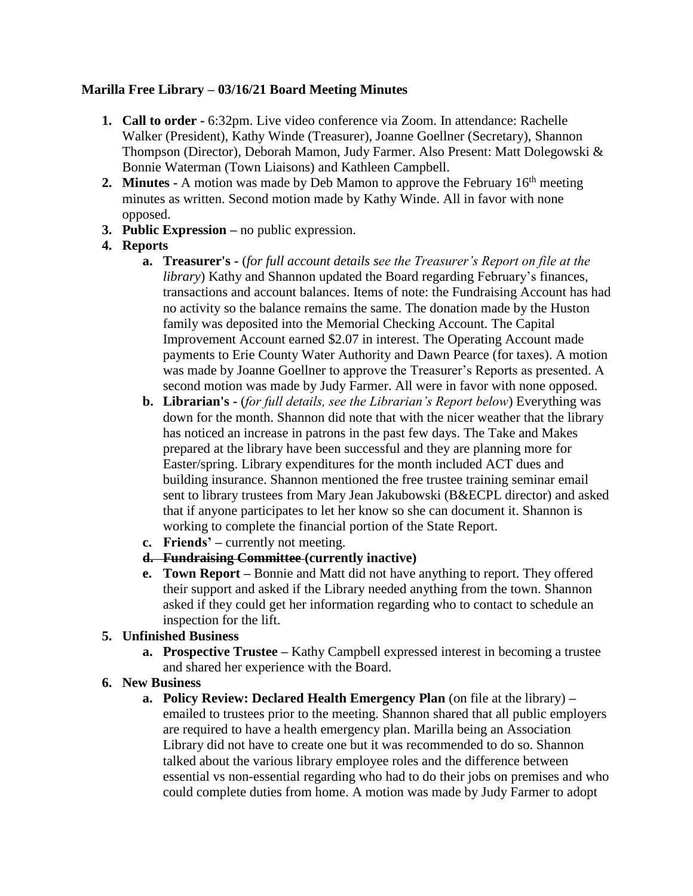# **Marilla Free Library – 03/16/21 Board Meeting Minutes**

- **1. Call to order -** 6:32pm. Live video conference via Zoom. In attendance: Rachelle Walker (President), Kathy Winde (Treasurer), Joanne Goellner (Secretary), Shannon Thompson (Director), Deborah Mamon, Judy Farmer. Also Present: Matt Dolegowski & Bonnie Waterman (Town Liaisons) and Kathleen Campbell.
- **2. Minutes -** A motion was made by Deb Mamon to approve the February 16<sup>th</sup> meeting minutes as written. Second motion made by Kathy Winde. All in favor with none opposed.
- **3. Public Expression –** no public expression.
- **4. Reports**
	- **a. Treasurer's -** (*for full account details see the Treasurer's Report on file at the library*) Kathy and Shannon updated the Board regarding February's finances, transactions and account balances. Items of note: the Fundraising Account has had no activity so the balance remains the same. The donation made by the Huston family was deposited into the Memorial Checking Account. The Capital Improvement Account earned \$2.07 in interest. The Operating Account made payments to Erie County Water Authority and Dawn Pearce (for taxes). A motion was made by Joanne Goellner to approve the Treasurer's Reports as presented. A second motion was made by Judy Farmer. All were in favor with none opposed.
	- **b. Librarian's -** (*for full details, see the Librarian's Report below*) Everything was down for the month. Shannon did note that with the nicer weather that the library has noticed an increase in patrons in the past few days. The Take and Makes prepared at the library have been successful and they are planning more for Easter/spring. Library expenditures for the month included ACT dues and building insurance. Shannon mentioned the free trustee training seminar email sent to library trustees from Mary Jean Jakubowski (B&ECPL director) and asked that if anyone participates to let her know so she can document it. Shannon is working to complete the financial portion of the State Report.
	- **c. Friends' –** currently not meeting.
	- **d. Fundraising Committee (currently inactive)**
	- **e. Town Report –** Bonnie and Matt did not have anything to report. They offered their support and asked if the Library needed anything from the town. Shannon asked if they could get her information regarding who to contact to schedule an inspection for the lift.

# **5. Unfinished Business**

- **a. Prospective Trustee –** Kathy Campbell expressed interest in becoming a trustee and shared her experience with the Board.
- **6. New Business**
	- **a. Policy Review: Declared Health Emergency Plan** (on file at the library) **–** emailed to trustees prior to the meeting. Shannon shared that all public employers are required to have a health emergency plan. Marilla being an Association Library did not have to create one but it was recommended to do so. Shannon talked about the various library employee roles and the difference between essential vs non-essential regarding who had to do their jobs on premises and who could complete duties from home. A motion was made by Judy Farmer to adopt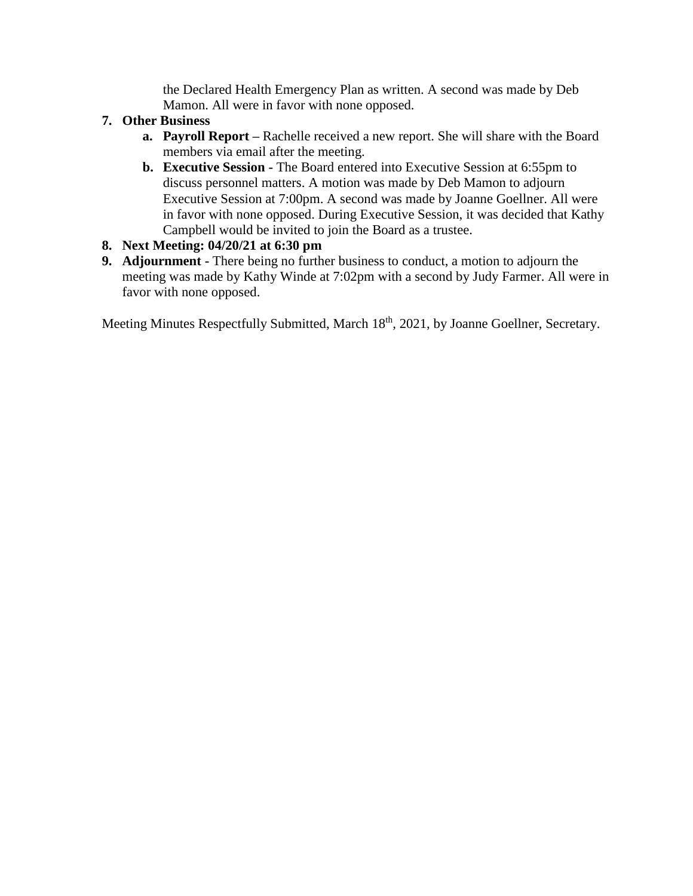the Declared Health Emergency Plan as written. A second was made by Deb Mamon. All were in favor with none opposed.

- **7. Other Business** 
	- **a. Payroll Report –** Rachelle received a new report. She will share with the Board members via email after the meeting.
	- **b. Executive Session -** The Board entered into Executive Session at 6:55pm to discuss personnel matters. A motion was made by Deb Mamon to adjourn Executive Session at 7:00pm. A second was made by Joanne Goellner. All were in favor with none opposed. During Executive Session, it was decided that Kathy Campbell would be invited to join the Board as a trustee.
- **8. Next Meeting: 04/20/21 at 6:30 pm**
- **9. Adjournment -** There being no further business to conduct, a motion to adjourn the meeting was made by Kathy Winde at 7:02pm with a second by Judy Farmer. All were in favor with none opposed.

Meeting Minutes Respectfully Submitted, March 18<sup>th</sup>, 2021, by Joanne Goellner, Secretary.